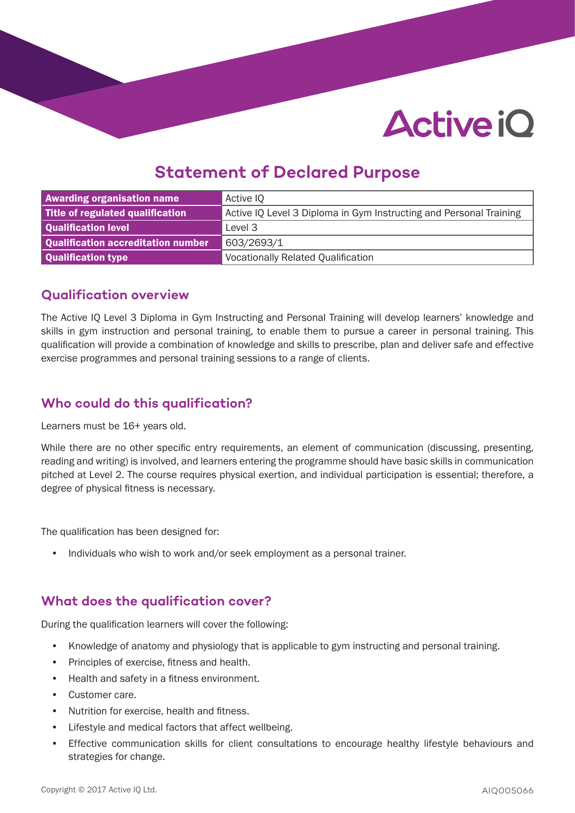# **Active iO**

### **Statement of Declared Purpose**

| <b>Awarding organisation name</b>  | Active IQ                                                          |  |
|------------------------------------|--------------------------------------------------------------------|--|
| Title of regulated qualification   | Active IQ Level 3 Diploma in Gym Instructing and Personal Training |  |
| Qualification level                | Level 3                                                            |  |
| Qualification accreditation number | 603/2693/1                                                         |  |
| Qualification type                 | <b>Vocationally Related Qualification</b>                          |  |

### **Qualification overview**

The Active IQ Level 3 Diploma in Gym Instructing and Personal Training will develop learners' knowledge and skills in gym instruction and personal training, to enable them to pursue a career in personal training. This qualification will provide a combination of knowledge and skills to prescribe, plan and deliver safe and effective exercise programmes and personal training sessions to a range of clients.

### **Who could do this qualification?**

Learners must be 16+ years old.

While there are no other specific entry requirements, an element of communication (discussing, presenting, reading and writing) is involved, and learners entering the programme should have basic skills in communication pitched at Level 2. The course requires physical exertion, and individual participation is essential; therefore, a degree of physical fitness is necessary.

The qualification has been designed for:

• Individuals who wish to work and/or seek employment as a personal trainer.

### **What does the qualification cover?**

During the qualification learners will cover the following:

- Knowledge of anatomy and physiology that is applicable to gym instructing and personal training.
- Principles of exercise, fitness and health.
- Health and safety in a fitness environment.
- Customer care.
- Nutrition for exercise, health and fitness.
- Lifestyle and medical factors that affect wellbeing.
- Effective communication skills for client consultations to encourage healthy lifestyle behaviours and strategies for change.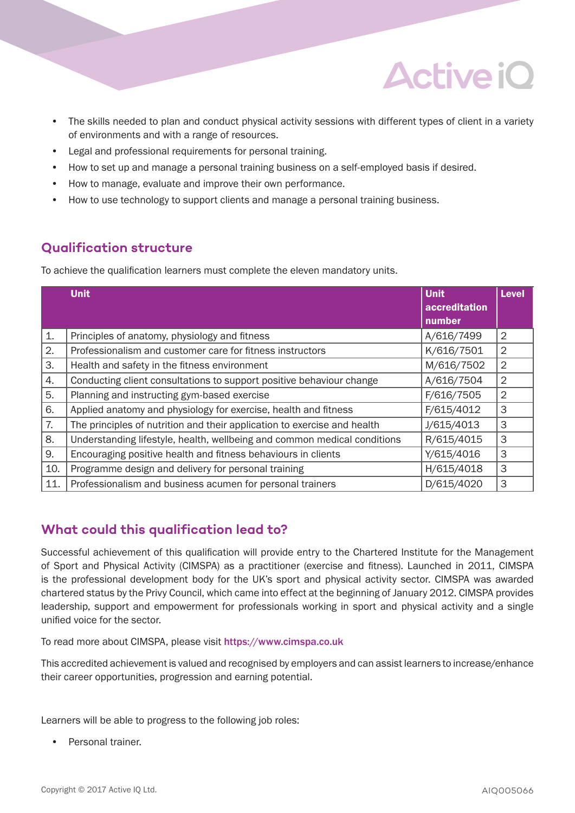

- The skills needed to plan and conduct physical activity sessions with different types of client in a variety of environments and with a range of resources.
- Legal and professional requirements for personal training.
- How to set up and manage a personal training business on a self-employed basis if desired.
- How to manage, evaluate and improve their own performance.
- How to use technology to support clients and manage a personal training business.

### **Qualification structure**

To achieve the qualification learners must complete the eleven mandatory units.

|     | <b>Unit</b>                                                              | <b>Unit</b><br>accreditation<br>number | <b>Level</b>   |
|-----|--------------------------------------------------------------------------|----------------------------------------|----------------|
| 1.  | Principles of anatomy, physiology and fitness                            | A/616/7499                             | 2              |
| 2.  | Professionalism and customer care for fitness instructors                | K/616/7501                             | 2              |
| 3.  | Health and safety in the fitness environment                             | M/616/7502                             | $\overline{2}$ |
| 4.  | Conducting client consultations to support positive behaviour change     | A/616/7504                             | 2              |
| 5.  | Planning and instructing gym-based exercise                              | F/616/7505                             | $\overline{2}$ |
| 6.  | Applied anatomy and physiology for exercise, health and fitness          | F/615/4012                             | 3              |
| 7.  | The principles of nutrition and their application to exercise and health | J/615/4013                             | 3              |
| 8.  | Understanding lifestyle, health, wellbeing and common medical conditions | R/615/4015                             | 3              |
| 9.  | Encouraging positive health and fitness behaviours in clients            | Y/615/4016                             | 3              |
| 10. | Programme design and delivery for personal training                      | H/615/4018                             | 3              |
| 11. | Professionalism and business acumen for personal trainers                | D/615/4020                             | 3              |

### **What could this qualification lead to?**

Successful achievement of this qualification will provide entry to the Chartered Institute for the Management of Sport and Physical Activity (CIMSPA) as a practitioner (exercise and fitness). Launched in 2011, CIMSPA is the professional development body for the UK's sport and physical activity sector. CIMSPA was awarded chartered status by the Privy Council, which came into effect at the beginning of January 2012. CIMSPA provides leadership, support and empowerment for professionals working in sport and physical activity and a single unified voice for the sector.

To read more about CIMSPA, please visit https://www.cimspa.co.uk

This accredited achievement is valued and recognised by employers and can assist learners to increase/enhance their career opportunities, progression and earning potential.

Learners will be able to progress to the following job roles:

• Personal trainer.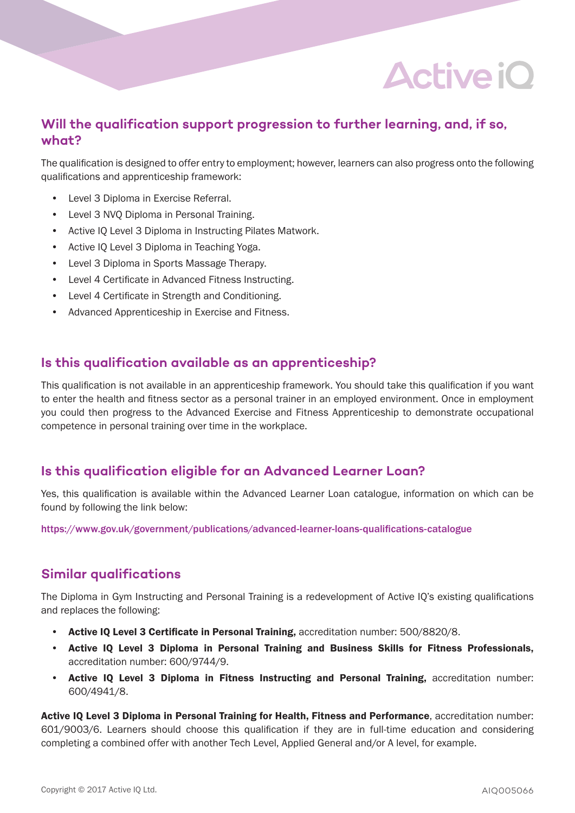## **Active iO**

### **Will the qualification support progression to further learning, and, if so, what?**

The qualification is designed to offer entry to employment; however, learners can also progress onto the following qualifications and apprenticeship framework:

- Level 3 Diploma in Exercise Referral.
- Level 3 NVQ Diploma in Personal Training.
- Active IQ Level 3 Diploma in Instructing Pilates Matwork.
- Active IQ Level 3 Diploma in Teaching Yoga.
- Level 3 Diploma in Sports Massage Therapy.
- Level 4 Certificate in Advanced Fitness Instructing.
- Level 4 Certificate in Strength and Conditioning.
- Advanced Apprenticeship in Exercise and Fitness.

### **Is this qualification available as an apprenticeship?**

This qualification is not available in an apprenticeship framework. You should take this qualification if you want to enter the health and fitness sector as a personal trainer in an employed environment. Once in employment you could then progress to the Advanced Exercise and Fitness Apprenticeship to demonstrate occupational competence in personal training over time in the workplace.

#### **Is this qualification eligible for an Advanced Learner Loan?**

Yes, this qualification is available within the Advanced Learner Loan catalogue, information on which can be found by following the link below:

https://www.gov.uk/government/publications/advanced-learner-loans-qualifications-catalogue

### **Similar qualifications**

The Diploma in Gym Instructing and Personal Training is a redevelopment of Active IQ's existing qualifications and replaces the following:

- Active IQ Level 3 Certificate in Personal Training, accreditation number: 500/8820/8.
- Active IQ Level 3 Diploma in Personal Training and Business Skills for Fitness Professionals, accreditation number: 600/9744/9.
- Active IQ Level 3 Diploma in Fitness Instructing and Personal Training, accreditation number: 600/4941/8.

Active IQ Level 3 Diploma in Personal Training for Health, Fitness and Performance, accreditation number: 601/9003/6. Learners should choose this qualification if they are in full-time education and considering completing a combined offer with another Tech Level, Applied General and/or A level, for example.